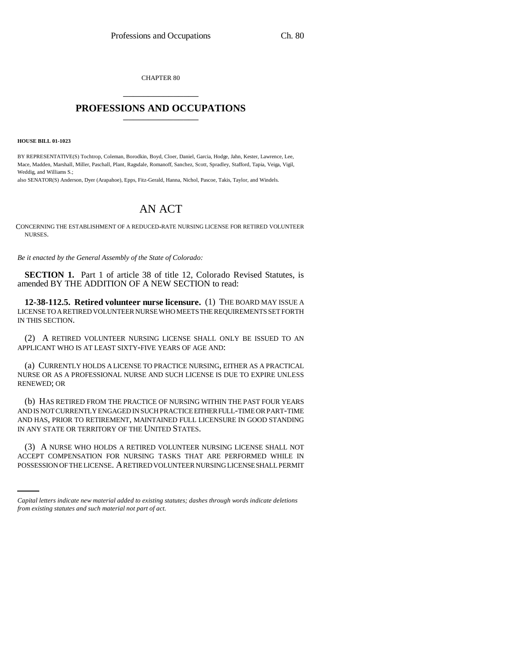CHAPTER 80 \_\_\_\_\_\_\_\_\_\_\_\_\_\_\_

## **PROFESSIONS AND OCCUPATIONS** \_\_\_\_\_\_\_\_\_\_\_\_\_\_\_

**HOUSE BILL 01-1023**

BY REPRESENTATIVE(S) Tochtrop, Coleman, Borodkin, Boyd, Cloer, Daniel, Garcia, Hodge, Jahn, Kester, Lawrence, Lee, Mace, Madden, Marshall, Miller, Paschall, Plant, Ragsdale, Romanoff, Sanchez, Scott, Spradley, Stafford, Tapia, Veiga, Vigil, Weddig, and Williams S.;

also SENATOR(S) Anderson, Dyer (Arapahoe), Epps, Fitz-Gerald, Hanna, Nichol, Pascoe, Takis, Taylor, and Windels.

## AN ACT

CONCERNING THE ESTABLISHMENT OF A REDUCED-RATE NURSING LICENSE FOR RETIRED VOLUNTEER NURSES.

*Be it enacted by the General Assembly of the State of Colorado:*

**SECTION 1.** Part 1 of article 38 of title 12, Colorado Revised Statutes, is amended BY THE ADDITION OF A NEW SECTION to read:

**12-38-112.5. Retired volunteer nurse licensure.** (1) THE BOARD MAY ISSUE A LICENSE TO A RETIRED VOLUNTEER NURSE WHO MEETS THE REQUIREMENTS SET FORTH IN THIS SECTION.

(2) A RETIRED VOLUNTEER NURSING LICENSE SHALL ONLY BE ISSUED TO AN APPLICANT WHO IS AT LEAST SIXTY-FIVE YEARS OF AGE AND:

(a) CURRENTLY HOLDS A LICENSE TO PRACTICE NURSING, EITHER AS A PRACTICAL NURSE OR AS A PROFESSIONAL NURSE AND SUCH LICENSE IS DUE TO EXPIRE UNLESS RENEWED; OR

(b) HAS RETIRED FROM THE PRACTICE OF NURSING WITHIN THE PAST FOUR YEARS AND IS NOT CURRENTLY ENGAGED IN SUCH PRACTICE EITHER FULL-TIME OR PART-TIME AND HAS, PRIOR TO RETIREMENT, MAINTAINED FULL LICENSURE IN GOOD STANDING IN ANY STATE OR TERRITORY OF THE UNITED STATES.

(3) A NURSE WHO HOLDS A RETIRED VOLUNTEER NURSING LICENSE SHALL NOT ACCEPT COMPENSATION FOR NURSING TASKS THAT ARE PERFORMED WHILE IN POSSESSION OF THE LICENSE. A RETIRED VOLUNTEER NURSING LICENSE SHALL PERMIT

*Capital letters indicate new material added to existing statutes; dashes through words indicate deletions from existing statutes and such material not part of act.*